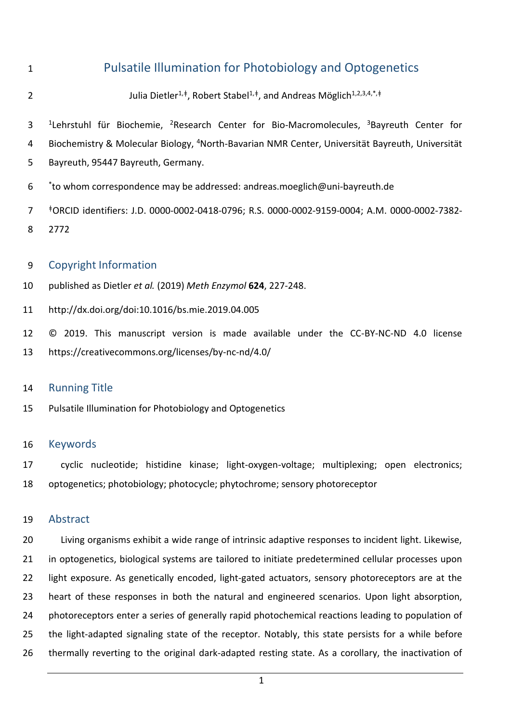Pulsatile Illumination for Photobiology and Optogenetics 2 **Julia Dietler<sup>1,‡</sup>, Robert Stabel<sup>1,‡</sup>, and Andreas Möglich**<sup>1,2,3,4,\*,‡</sup> 3 <sup>1</sup>Lehrstuhl für Biochemie, <sup>2</sup>Research Center for Bio-Macromolecules, <sup>3</sup>Bayreuth Center for 4 Biochemistry & Molecular Biology, <sup>4</sup> North-Bavarian NMR Center, Universität Bayreuth, Universität Bayreuth, 95447 Bayreuth, Germany. \* to whom correspondence may be addressed: andreas.moeglich@uni-bayreuth.de <sup>ǂ</sup>ORCID identifiers: J.D. 0000-0002-0418-0796; R.S. 0000-0002-9159-0004; A.M. 0000-0002-7382- 2772 Copyright Information published as Dietler *et al.* (2019) *Meth Enzymol* **624**, 227-248. http://dx.doi.org/doi:10.1016/bs.mie.2019.04.005 © 2019. This manuscript version is made available under the CC-BY-NC-ND 4.0 license https://creativecommons.org/licenses/by-nc-nd/4.0/

### Running Title

Pulsatile Illumination for Photobiology and Optogenetics

#### Keywords

 cyclic nucleotide; histidine kinase; light-oxygen-voltage; multiplexing; open electronics; optogenetics; photobiology; photocycle; phytochrome; sensory photoreceptor

### Abstract

 Living organisms exhibit a wide range of intrinsic adaptive responses to incident light. Likewise, in optogenetics, biological systems are tailored to initiate predetermined cellular processes upon 22 light exposure. As genetically encoded, light-gated actuators, sensory photoreceptors are at the heart of these responses in both the natural and engineered scenarios. Upon light absorption, 24 photoreceptors enter a series of generally rapid photochemical reactions leading to population of the light-adapted signaling state of the receptor. Notably, this state persists for a while before thermally reverting to the original dark-adapted resting state. As a corollary, the inactivation of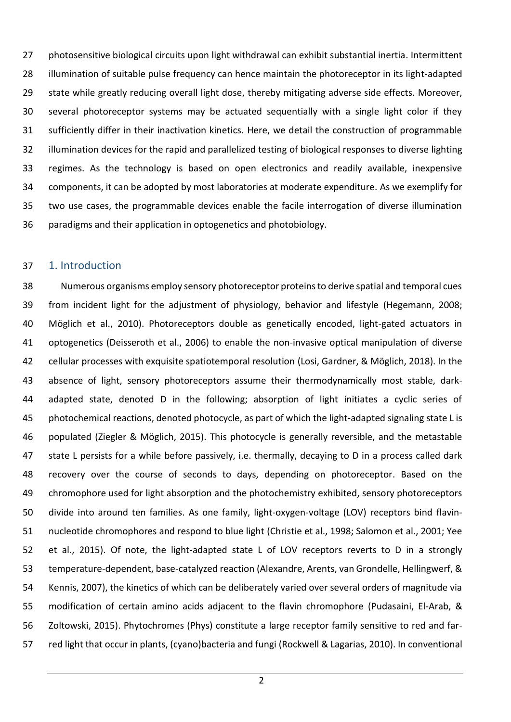27 photosensitive biological circuits upon light withdrawal can exhibit substantial inertia. Intermittent illumination of suitable pulse frequency can hence maintain the photoreceptor in its light-adapted state while greatly reducing overall light dose, thereby mitigating adverse side effects. Moreover, several photoreceptor systems may be actuated sequentially with a single light color if they sufficiently differ in their inactivation kinetics. Here, we detail the construction of programmable illumination devices for the rapid and parallelized testing of biological responses to diverse lighting regimes. As the technology is based on open electronics and readily available, inexpensive components, it can be adopted by most laboratories at moderate expenditure. As we exemplify for two use cases, the programmable devices enable the facile interrogation of diverse illumination paradigms and their application in optogenetics and photobiology.

### 1. Introduction

 Numerous organisms employ sensory photoreceptor proteins to derive spatial and temporal cues from incident light for the adjustment of physiology, behavior and lifestyle (Hegemann, 2008; Möglich et al., 2010). Photoreceptors double as genetically encoded, light-gated actuators in optogenetics (Deisseroth et al., 2006) to enable the non-invasive optical manipulation of diverse cellular processes with exquisite spatiotemporal resolution (Losi, Gardner, & Möglich, 2018). In the absence of light, sensory photoreceptors assume their thermodynamically most stable, dark-44 adapted state, denoted D in the following; absorption of light initiates a cyclic series of photochemical reactions, denoted photocycle, as part of which the light-adapted signaling state L is populated (Ziegler & Möglich, 2015). This photocycle is generally reversible, and the metastable 47 state L persists for a while before passively, i.e. thermally, decaying to D in a process called dark recovery over the course of seconds to days, depending on photoreceptor. Based on the chromophore used for light absorption and the photochemistry exhibited, sensory photoreceptors divide into around ten families. As one family, light-oxygen-voltage (LOV) receptors bind flavin- nucleotide chromophores and respond to blue light (Christie et al., 1998; Salomon et al., 2001; Yee et al., 2015). Of note, the light-adapted state L of LOV receptors reverts to D in a strongly temperature-dependent, base-catalyzed reaction (Alexandre, Arents, van Grondelle, Hellingwerf, & Kennis, 2007), the kinetics of which can be deliberately varied over several orders of magnitude via modification of certain amino acids adjacent to the flavin chromophore (Pudasaini, El-Arab, & Zoltowski, 2015). Phytochromes (Phys) constitute a large receptor family sensitive to red and far-red light that occur in plants, (cyano)bacteria and fungi (Rockwell & Lagarias, 2010). In conventional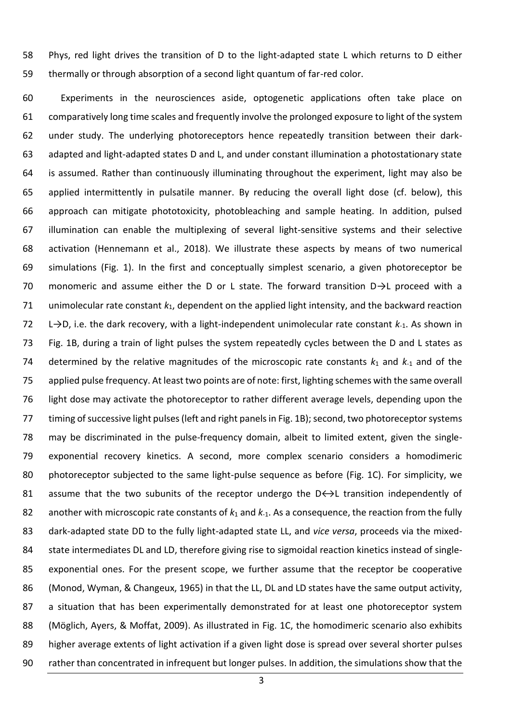Phys, red light drives the transition of D to the light-adapted state L which returns to D either thermally or through absorption of a second light quantum of far-red color.

 Experiments in the neurosciences aside, optogenetic applications often take place on comparatively long time scales and frequently involve the prolonged exposure to light of the system under study. The underlying photoreceptors hence repeatedly transition between their dark- adapted and light-adapted states D and L, and under constant illumination a photostationary state is assumed. Rather than continuously illuminating throughout the experiment, light may also be applied intermittently in pulsatile manner. By reducing the overall light dose (cf. below), this approach can mitigate phototoxicity, photobleaching and sample heating. In addition, pulsed illumination can enable the multiplexing of several light-sensitive systems and their selective activation (Hennemann et al., 2018). We illustrate these aspects by means of two numerical simulations (Fig. 1). In the first and conceptually simplest scenario, a given photoreceptor be monomeric and assume either the D or L state. The forward transition D→L proceed with a unimolecular rate constant *k*1, dependent on the applied light intensity, and the backward reaction L→D, i.e. the dark recovery, with a light-independent unimolecular rate constant *k*-1. As shown in Fig. 1B, during a train of light pulses the system repeatedly cycles between the D and L states as 74 determined by the relative magnitudes of the microscopic rate constants  $k_1$  and  $k_1$  and of the applied pulse frequency. At least two points are of note: first, lighting schemes with the same overall light dose may activate the photoreceptor to rather different average levels, depending upon the timing of successive light pulses (left and right panels in Fig. 1B); second, two photoreceptor systems may be discriminated in the pulse-frequency domain, albeit to limited extent, given the single- exponential recovery kinetics. A second, more complex scenario considers a homodimeric photoreceptor subjected to the same light-pulse sequence as before (Fig. 1C). For simplicity, we 81 assume that the two subunits of the receptor undergo the  $D \leftrightarrow L$  transition independently of another with microscopic rate constants of *k*<sup>1</sup> and *k*-1. As a consequence, the reaction from the fully dark-adapted state DD to the fully light-adapted state LL, and *vice versa*, proceeds via the mixed-84 state intermediates DL and LD, therefore giving rise to sigmoidal reaction kinetics instead of single- exponential ones. For the present scope, we further assume that the receptor be cooperative (Monod, Wyman, & Changeux, 1965) in that the LL, DL and LD states have the same output activity, 87 a situation that has been experimentally demonstrated for at least one photoreceptor system (Möglich, Ayers, & Moffat, 2009). As illustrated in Fig. 1C, the homodimeric scenario also exhibits higher average extents of light activation if a given light dose is spread over several shorter pulses rather than concentrated in infrequent but longer pulses. In addition, the simulations show that the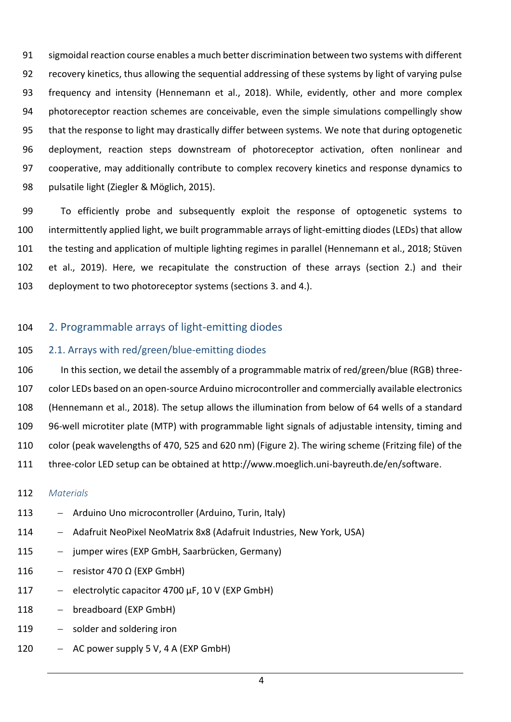sigmoidal reaction course enables a much better discrimination between two systems with different recovery kinetics, thus allowing the sequential addressing of these systems by light of varying pulse frequency and intensity (Hennemann et al., 2018). While, evidently, other and more complex photoreceptor reaction schemes are conceivable, even the simple simulations compellingly show that the response to light may drastically differ between systems. We note that during optogenetic deployment, reaction steps downstream of photoreceptor activation, often nonlinear and cooperative, may additionally contribute to complex recovery kinetics and response dynamics to pulsatile light (Ziegler & Möglich, 2015).

 To efficiently probe and subsequently exploit the response of optogenetic systems to intermittently applied light, we built programmable arrays of light-emitting diodes (LEDs) that allow the testing and application of multiple lighting regimes in parallel (Hennemann et al., 2018; Stüven et al., 2019). Here, we recapitulate the construction of these arrays (section 2.) and their deployment to two photoreceptor systems (sections 3. and 4.).

## 2. Programmable arrays of light-emitting diodes

#### 2.1. Arrays with red/green/blue-emitting diodes

 In this section, we detail the assembly of a programmable matrix of red/green/blue (RGB) three- color LEDs based on an open-source Arduino microcontroller and commercially available electronics (Hennemann et al., 2018). The setup allows the illumination from below of 64 wells of a standard 96-well microtiter plate (MTP) with programmable light signals of adjustable intensity, timing and color (peak wavelengths of 470, 525 and 620 nm) (Figure 2). The wiring scheme (Fritzing file) of the three-color LED setup can be obtained at [http://www.moeglich.uni-bayreuth.de/en/software.](http://www.moeglich.uni-bayreuth.de/en/software)

#### *Materials*

- 113 Arduino Uno microcontroller (Arduino, Turin, Italy)
- 114 Adafruit NeoPixel NeoMatrix 8x8 (Adafruit Industries, New York, USA)
- 115 jumper wires (EXP GmbH, Saarbrücken, Germany)
- 116  $-$  resistor 470  $\Omega$  (EXP GmbH)
- 117 electrolytic capacitor 4700 μF, 10 V (EXP GmbH)
- 118 breadboard (EXP GmbH)
- 119 solder and soldering iron
- − AC power supply 5 V, 4 A (EXP GmbH)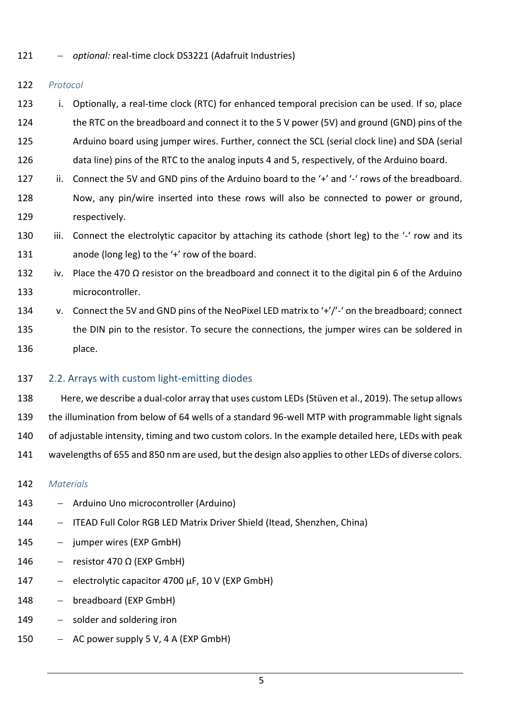121 - *optional:* real-time clock DS3221 (Adafruit Industries)

# 122 *Protocol*

- 123 i. Optionally, a real-time clock (RTC) for enhanced temporal precision can be used. If so, place 124 the RTC on the breadboard and connect it to the 5 V power (5V) and ground (GND) pins of the 125 Arduino board using jumper wires. Further, connect the SCL (serial clock line) and SDA (serial 126 data line) pins of the RTC to the analog inputs 4 and 5, respectively, of the Arduino board.
- 127 ii. Connect the 5V and GND pins of the Arduino board to the '+' and '-' rows of the breadboard.
- 128 Now, any pin/wire inserted into these rows will also be connected to power or ground, 129 respectively.
- 130 iii. Connect the electrolytic capacitor by attaching its cathode (short leg) to the '-' row and its 131 anode (long leg) to the '+' row of the board.
- 132 iv. Place the 470  $\Omega$  resistor on the breadboard and connect it to the digital pin 6 of the Arduino 133 microcontroller.
- 134 v. Connect the 5V and GND pins of the NeoPixel LED matrix to '+'/'-' on the breadboard; connect 135 the DIN pin to the resistor. To secure the connections, the jumper wires can be soldered in 136 place.

# 137 2.2. Arrays with custom light-emitting diodes

- 138 Here, we describe a dual-color array that uses custom LEDs (Stüven et al., 2019). The setup allows 139 the illumination from below of 64 wells of a standard 96-well MTP with programmable light signals 140 of adjustable intensity, timing and two custom colors. In the example detailed here, LEDs with peak 141 wavelengths of 655 and 850 nm are used, but the design also applies to other LEDs of diverse colors.
- 142 *Materials*
- 143 Arduino Uno microcontroller (Arduino)
- 144 ITEAD Full Color RGB LED Matrix Driver Shield (Itead, Shenzhen, China)
- 145 jumper wires (EXP GmbH)
- 146  $-$  resistor 470  $\Omega$  (EXP GmbH)
- 147 electrolytic capacitor 4700 μF, 10 V (EXP GmbH)
- 148 breadboard (EXP GmbH)
- 149 solder and soldering iron
- 150 − AC power supply 5 V, 4 A (EXP GmbH)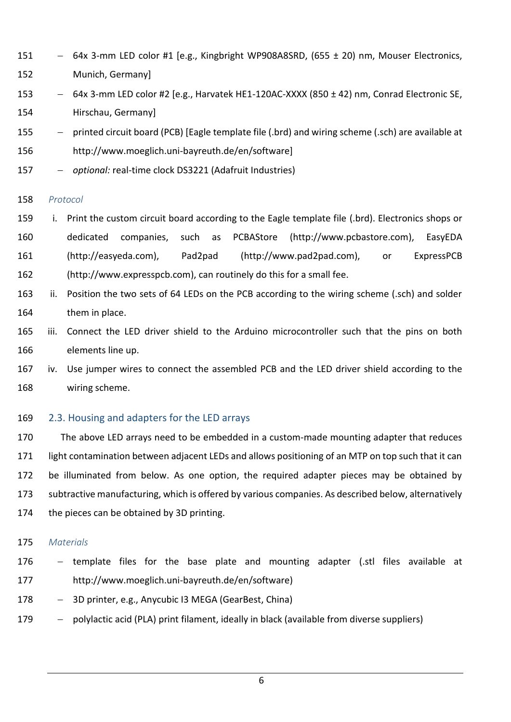- − 64x 3-mm LED color #1 [e.g., Kingbright WP908A8SRD, (655 ± 20) nm, Mouser Electronics,
- Munich, Germany]
- − 64x 3-mm LED color #2 [e.g., Harvatek HE1-120AC-XXXX (850 ± 42) nm, Conrad Electronic SE, Hirschau, Germany]
- − printed circuit board (PCB) [Eagle template file (.brd) and wiring scheme (.sch) are available at
- [http://www.moeglich.uni-bayreuth.de/en/software\]](http://www.moeglich.uni-bayreuth.de/en/software)
- 157 *optional:* real-time clock DS3221 (Adafruit Industries)
- *Protocol*
- i. Print the custom circuit board according to the Eagle template file (.brd). Electronics shops or dedicated companies, such as PCBAStore [\(http://www.pcbastore.com\)](http://www.pcbastore.com/), EasyEDA [\(http://easyeda.com\)](http://easyeda.com/), Pad2pad [\(http://www.pad2pad.com\)](http://www.pad2pad.com/), or ExpressPCB (http://www.expresspcb.com), can routinely do this for a small fee.
- ii. Position the two sets of 64 LEDs on the PCB according to the wiring scheme (.sch) and solder them in place.
- iii. Connect the LED driver shield to the Arduino microcontroller such that the pins on both elements line up.
- iv. Use jumper wires to connect the assembled PCB and the LED driver shield according to the wiring scheme.

# 2.3. Housing and adapters for the LED arrays

 The above LED arrays need to be embedded in a custom-made mounting adapter that reduces light contamination between adjacent LEDs and allows positioning of an MTP on top such that it can be illuminated from below. As one option, the required adapter pieces may be obtained by subtractive manufacturing, which is offered by various companies. As described below, alternatively the pieces can be obtained by 3D printing.

- *Materials*
- 176 template files for the base plate and mounting adapter (.stl files available at [http://www.moeglich.uni-bayreuth.de/en/software\)](http://www.moeglich.uni-bayreuth.de/en/software)
- 178 3D printer, e.g., Anycubic I3 MEGA (GearBest, China)
- 179 polylactic acid (PLA) print filament, ideally in black (available from diverse suppliers)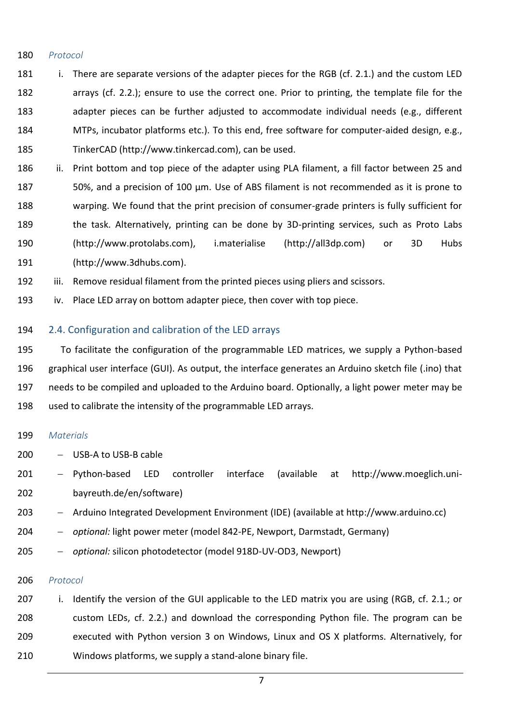### *Protocol*

- 181 i. There are separate versions of the adapter pieces for the RGB (cf. 2.1.) and the custom LED arrays (cf. 2.2.); ensure to use the correct one. Prior to printing, the template file for the adapter pieces can be further adjusted to accommodate individual needs (e.g., different MTPs, incubator platforms etc.). To this end, free software for computer-aided design, e.g., TinkerCAD (http://www.tinkercad.com), can be used.
- ii. Print bottom and top piece of the adapter using PLA filament, a fill factor between 25 and 187 50%, and a precision of 100 µm. Use of ABS filament is not recommended as it is prone to warping. We found that the print precision of consumer-grade printers is fully sufficient for 189 the task. Alternatively, printing can be done by 3D-printing services, such as Proto Labs [\(http://www.protolabs.com\)](http://www.protolabs.com/), i.materialise [\(http://all3dp.com\)](http://all3dp.com/) or 3D Hubs [\(http://www.3dhubs.com\)](http://www.3dhubs.com/).
- iii. Remove residual filament from the printed pieces using pliers and scissors.
- iv. Place LED array on bottom adapter piece, then cover with top piece.

## 2.4. Configuration and calibration of the LED arrays

 To facilitate the configuration of the programmable LED matrices, we supply a Python-based graphical user interface (GUI). As output, the interface generates an Arduino sketch file (.ino) that needs to be compiled and uploaded to the Arduino board. Optionally, a light power meter may be used to calibrate the intensity of the programmable LED arrays.

## *Materials*

- − USB-A to USB-B cable
- − Python-based LED controller interface (available at [http://www.moeglich.uni-](http://www.moeglich.uni-bayreuth.de/en/software)[bayreuth.de/en/software\)](http://www.moeglich.uni-bayreuth.de/en/software)
- − Arduino Integrated Development Environment (IDE) (available at http://www.arduino.cc)
- 204 *optional:* light power meter (model 842-PE, Newport, Darmstadt, Germany)
- − *optional:* silicon photodetector (model 918D-UV-OD3, Newport)

### *Protocol*

207 i. Identify the version of the GUI applicable to the LED matrix you are using (RGB, cf. 2.1.; or custom LEDs, cf. 2.2.) and download the corresponding Python file. The program can be executed with Python version 3 on Windows, Linux and OS X platforms. Alternatively, for Windows platforms, we supply a stand-alone binary file.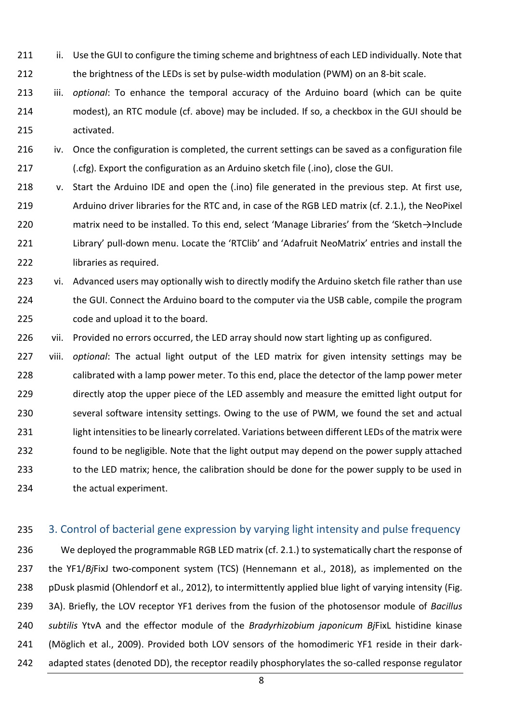- 211 ii. Use the GUI to configure the timing scheme and brightness of each LED individually. Note that 212 the brightness of the LEDs is set by pulse-width modulation (PWM) on an 8-bit scale.
- iii. *optional*: To enhance the temporal accuracy of the Arduino board (which can be quite modest), an RTC module (cf. above) may be included. If so, a checkbox in the GUI should be activated.
- 216 iv. Once the configuration is completed, the current settings can be saved as a configuration file (.cfg). Export the configuration as an Arduino sketch file (.ino), close the GUI.
- 218 v. Start the Arduino IDE and open the (.ino) file generated in the previous step. At first use, Arduino driver libraries for the RTC and, in case of the RGB LED matrix (cf. 2.1.), the NeoPixel matrix need to be installed. To this end, select 'Manage Libraries' from the 'Sketch→Include Library' pull-down menu. Locate the 'RTClib' and 'Adafruit NeoMatrix' entries and install the libraries as required.
- 223 vi. Advanced users may optionally wish to directly modify the Arduino sketch file rather than use 224 the GUI. Connect the Arduino board to the computer via the USB cable, compile the program code and upload it to the board.
- vii. Provided no errors occurred, the LED array should now start lighting up as configured.
- viii. *optional*: The actual light output of the LED matrix for given intensity settings may be calibrated with a lamp power meter. To this end, place the detector of the lamp power meter directly atop the upper piece of the LED assembly and measure the emitted light output for several software intensity settings. Owing to the use of PWM, we found the set and actual 231 light intensities to be linearly correlated. Variations between different LEDs of the matrix were found to be negligible. Note that the light output may depend on the power supply attached 233 to the LED matrix; hence, the calibration should be done for the power supply to be used in the actual experiment.

# 3. Control of bacterial gene expression by varying light intensity and pulse frequency

 We deployed the programmable RGB LED matrix (cf. 2.1.) to systematically chart the response of the YF1/*Bj*FixJ two-component system (TCS) (Hennemann et al., 2018), as implemented on the 238 pDusk plasmid (Ohlendorf et al., 2012), to intermittently applied blue light of varying intensity (Fig. 3A). Briefly, the LOV receptor YF1 derives from the fusion of the photosensor module of *Bacillus subtilis* YtvA and the effector module of the *Bradyrhizobium japonicum Bj*FixL histidine kinase (Möglich et al., 2009). Provided both LOV sensors of the homodimeric YF1 reside in their dark-242 adapted states (denoted DD), the receptor readily phosphorylates the so-called response regulator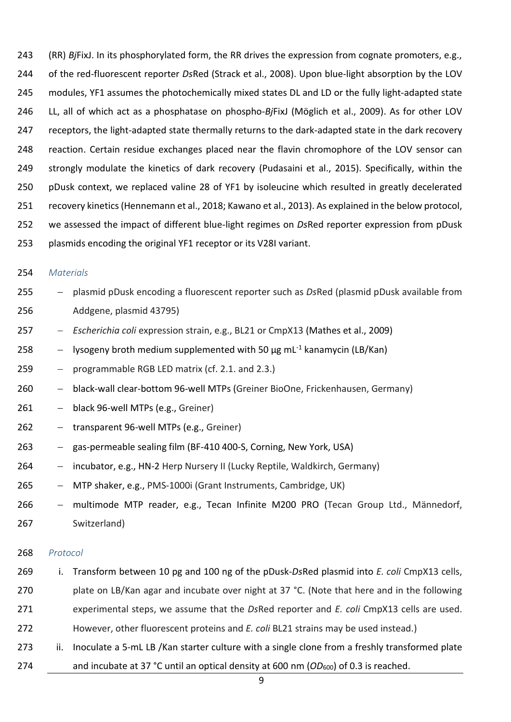(RR) *Bj*FixJ. In its phosphorylated form, the RR drives the expression from cognate promoters, e.g., of the red-fluorescent reporter *Ds*Red (Strack et al., 2008). Upon blue-light absorption by the LOV modules, YF1 assumes the photochemically mixed states DL and LD or the fully light-adapted state LL, all of which act as a phosphatase on phospho-*Bj*FixJ (Möglich et al., 2009). As for other LOV receptors, the light-adapted state thermally returns to the dark-adapted state in the dark recovery reaction. Certain residue exchanges placed near the flavin chromophore of the LOV sensor can strongly modulate the kinetics of dark recovery (Pudasaini et al., 2015). Specifically, within the pDusk context, we replaced valine 28 of YF1 by isoleucine which resulted in greatly decelerated recovery kinetics (Hennemann et al., 2018; Kawano et al., 2013). As explained in the below protocol, we assessed the impact of different blue-light regimes on *Ds*Red reporter expression from pDusk plasmids encoding the original YF1 receptor or its V28I variant.

*Materials*

- − plasmid pDusk encoding a fluorescent reporter such as *Ds*Red (plasmid pDusk available from Addgene, plasmid 43795)
- − *Escherichia coli* expression strain, e.g., BL21 or CmpX13 (Mathes et al., 2009)
- $258 -$  lysogeny broth medium supplemented with 50  $\mu$ g mL<sup>-1</sup> kanamycin (LB/Kan)
- 259 programmable RGB LED matrix (cf. 2.1. and 2.3.)
- 260 black-wall clear-bottom 96-well MTPs (Greiner BioOne, Frickenhausen, Germany)
- − black 96-well MTPs (e.g., Greiner)
- − transparent 96-well MTPs (e.g., Greiner)
- 263 gas-permeable sealing film (BF-410 400-S, Corning, New York, USA)
- 264 incubator, e.g., HN-2 Herp Nursery II (Lucky Reptile, Waldkirch, Germany)
- 265 MTP shaker, e.g., PMS-1000i (Grant Instruments, Cambridge, UK)
- − multimode MTP reader, e.g., Tecan Infinite M200 PRO (Tecan Group Ltd., Männedorf, Switzerland)

### *Protocol*

- i. Transform between 10 pg and 100 ng of the pDusk-*Ds*Red plasmid into *E. coli* CmpX13 cells,
- 270 plate on LB/Kan agar and incubate over night at 37 °C. (Note that here and in the following
- experimental steps, we assume that the *Ds*Red reporter and *E. coli* CmpX13 cells are used.
- However, other fluorescent proteins and *E. coli* BL21 strains may be used instead.)
- 273 ii. Inoculate a 5-mL LB /Kan starter culture with a single clone from a freshly transformed plate
- 274 and incubate at 37 °C until an optical density at 600 nm (OD<sub>600</sub>) of 0.3 is reached.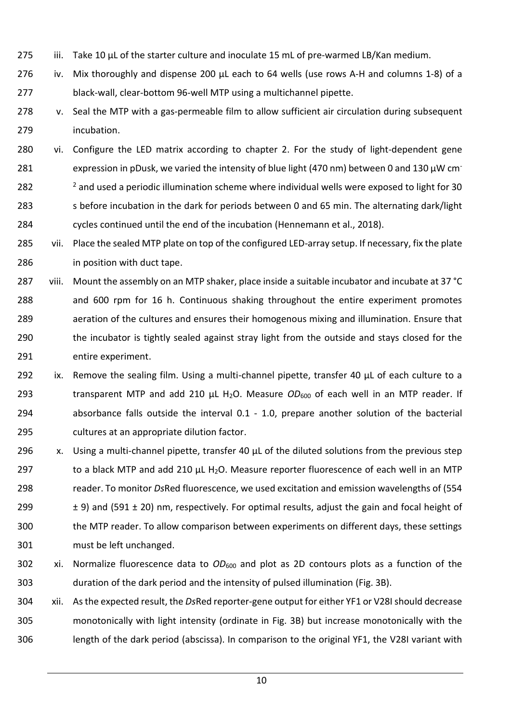- 275 iii. Take 10 µL of the starter culture and inoculate 15 mL of pre-warmed LB/Kan medium.
- 276 iv. Mix thoroughly and dispense 200 µL each to 64 wells (use rows A-H and columns 1-8) of a black-wall, clear-bottom 96-well MTP using a multichannel pipette.
- 278 v. Seal the MTP with a gas-permeable film to allow sufficient air circulation during subsequent incubation.
- 280 vi. Configure the LED matrix according to chapter 2. For the study of light-dependent gene 281 expression in pDusk, we varied the intensity of blue light (470 nm) between 0 and 130  $\mu$ W cm<sup>-</sup> 282 <sup>2</sup> and used a periodic illumination scheme where individual wells were exposed to light for 30 s before incubation in the dark for periods between 0 and 65 min. The alternating dark/light cycles continued until the end of the incubation (Hennemann et al., 2018).
- vii. Place the sealed MTP plate on top of the configured LED-array setup. If necessary, fix the plate in position with duct tape.
- 287 viii. Mount the assembly on an MTP shaker, place inside a suitable incubator and incubate at 37 °C and 600 rpm for 16 h. Continuous shaking throughout the entire experiment promotes aeration of the cultures and ensures their homogenous mixing and illumination. Ensure that the incubator is tightly sealed against stray light from the outside and stays closed for the entire experiment.
- 292 ix. Remove the sealing film. Using a multi-channel pipette, transfer 40 µL of each culture to a 293 transparent MTP and add 210 μL H<sub>2</sub>O. Measure *OD*<sub>600</sub> of each well in an MTP reader. If absorbance falls outside the interval 0.1 - 1.0, prepare another solution of the bacterial cultures at an appropriate dilution factor.
- 296 x. Using a multi-channel pipette, transfer 40 µL of the diluted solutions from the previous step 297 to a black MTP and add 210  $\mu$ L H<sub>2</sub>O. Measure reporter fluorescence of each well in an MTP reader. To monitor *Ds*Red fluorescence, we used excitation and emission wavelengths of (554 299  $\pm$  9) and (591  $\pm$  20) nm, respectively. For optimal results, adjust the gain and focal height of the MTP reader. To allow comparison between experiments on different days, these settings must be left unchanged.
- 302 xi. Normalize fluorescence data to  $OD_{600}$  and plot as 2D contours plots as a function of the duration of the dark period and the intensity of pulsed illumination (Fig. 3B).
- xii. As the expected result, the *Ds*Red reporter-gene output for either YF1 or V28I should decrease monotonically with light intensity (ordinate in Fig. 3B) but increase monotonically with the length of the dark period (abscissa). In comparison to the original YF1, the V28I variant with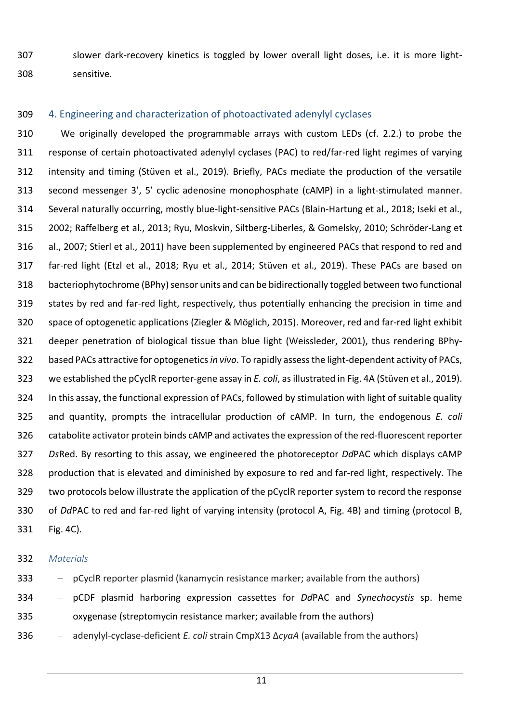slower dark-recovery kinetics is toggled by lower overall light doses, i.e. it is more light-sensitive.

## 4. Engineering and characterization of photoactivated adenylyl cyclases

 We originally developed the programmable arrays with custom LEDs (cf. 2.2.) to probe the response of certain photoactivated adenylyl cyclases (PAC) to red/far-red light regimes of varying intensity and timing (Stüven et al., 2019). Briefly, PACs mediate the production of the versatile second messenger 3', 5' cyclic adenosine monophosphate (cAMP) in a light-stimulated manner. Several naturally occurring, mostly blue-light-sensitive PACs (Blain-Hartung et al., 2018; Iseki et al., 2002; Raffelberg et al., 2013; Ryu, Moskvin, Siltberg-Liberles, & Gomelsky, 2010; Schröder-Lang et al., 2007; Stierl et al., 2011) have been supplemented by engineered PACs that respond to red and far-red light (Etzl et al., 2018; Ryu et al., 2014; Stüven et al., 2019). These PACs are based on bacteriophytochrome (BPhy) sensor units and can be bidirectionally toggled between two functional states by red and far-red light, respectively, thus potentially enhancing the precision in time and space of optogenetic applications (Ziegler & Möglich, 2015). Moreover, red and far-red light exhibit deeper penetration of biological tissue than blue light (Weissleder, 2001), thus rendering BPhy- based PACs attractive for optogenetics *in vivo*. To rapidly assess the light-dependent activity of PACs, we established the pCyclR reporter-gene assay in *E. coli*, asillustrated in Fig. 4A (Stüven et al., 2019). In this assay, the functional expression of PACs, followed by stimulation with light of suitable quality and quantity, prompts the intracellular production of cAMP. In turn, the endogenous *E. coli* catabolite activator protein binds cAMP and activates the expression of the red-fluorescent reporter *Ds*Red. By resorting to this assay, we engineered the photoreceptor *Dd*PAC which displays cAMP production that is elevated and diminished by exposure to red and far-red light, respectively. The two protocols below illustrate the application of the pCyclR reporter system to record the response of *Dd*PAC to red and far-red light of varying intensity (protocol A, Fig. 4B) and timing (protocol B, Fig. 4C).

#### *Materials*

333 – pCyclR reporter plasmid (kanamycin resistance marker; available from the authors)

 − pCDF plasmid harboring expression cassettes for *Dd*PAC and *Synechocystis* sp. heme oxygenase (streptomycin resistance marker; available from the authors)

− adenylyl-cyclase-deficient *E. coli* strain CmpX13 Δ*cyaA* (available from the authors)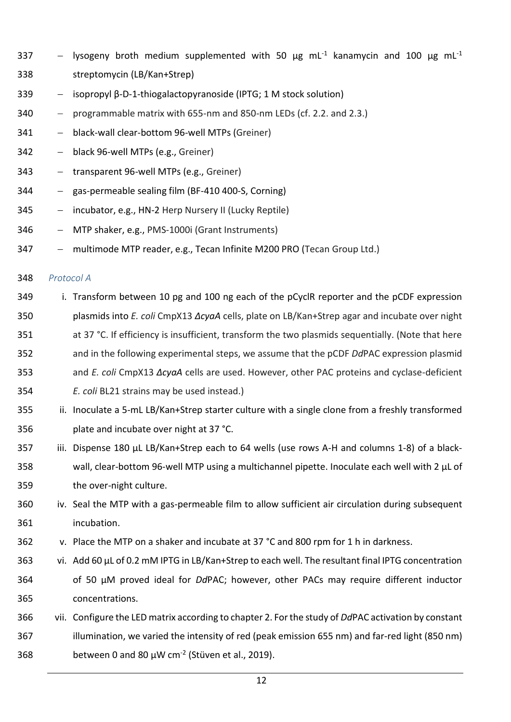- $-$  lysogeny broth medium supplemented with 50 μg mL<sup>-1</sup> kanamycin and 100 μg mL<sup>-1</sup>
- streptomycin (LB/Kan+Strep)
- 339 isopropyl β-D-1-thiogalactopyranoside (IPTG; 1 M stock solution)
- 340 programmable matrix with 655-nm and 850-nm LEDs (cf. 2.2. and 2.3.)
- 341 black-wall clear-bottom 96-well MTPs (Greiner)
- − black 96-well MTPs (e.g., Greiner)
- 343 transparent 96-well MTPs (e.g., Greiner)
- 344 gas-permeable sealing film (BF-410 400-S, Corning)
- 345 incubator, e.g., HN-2 Herp Nursery II (Lucky Reptile)
- 346 MTP shaker, e.g., PMS-1000i (Grant Instruments)
- 347 multimode MTP reader, e.g., Tecan Infinite M200 PRO (Tecan Group Ltd.)

# *Protocol A*

- i. Transform between 10 pg and 100 ng each of the pCyclR reporter and the pCDF expression plasmids into *E. coli* CmpX13 *ΔcyaA* cells, plate on LB/Kan+Strep agar and incubate over night at 37 °C. If efficiency is insufficient, transform the two plasmids sequentially. (Note that here and in the following experimental steps, we assume that the pCDF *Dd*PAC expression plasmid and *E. coli* CmpX13 *ΔcyaA* cells are used. However, other PAC proteins and cyclase-deficient
- *E. coli* BL21 strains may be used instead.)
- 355 ii. Inoculate a 5-mL LB/Kan+Strep starter culture with a single clone from a freshly transformed plate and incubate over night at 37 °C.
- iii. Dispense 180 µL LB/Kan+Strep each to 64 wells (use rows A-H and columns 1-8) of a black- wall, clear-bottom 96-well MTP using a multichannel pipette. Inoculate each well with 2 µL of the over-night culture.
- iv. Seal the MTP with a gas-permeable film to allow sufficient air circulation during subsequent incubation.
- v. Place the MTP on a shaker and incubate at 37 °C and 800 rpm for 1 h in darkness.
- vi. Add 60 µL of 0.2 mM IPTG in LB/Kan+Strep to each well. The resultant final IPTG concentration of 50 µM proved ideal for *Dd*PAC; however, other PACs may require different inductor concentrations.
- vii. Configure the LED matrix according to chapter 2. For the study of *Dd*PAC activation by constant illumination, we varied the intensity of red (peak emission 655 nm) and far-red light (850 nm) 368 between 0 and 80  $\mu$ W cm<sup>-2</sup> (Stüven et al., 2019).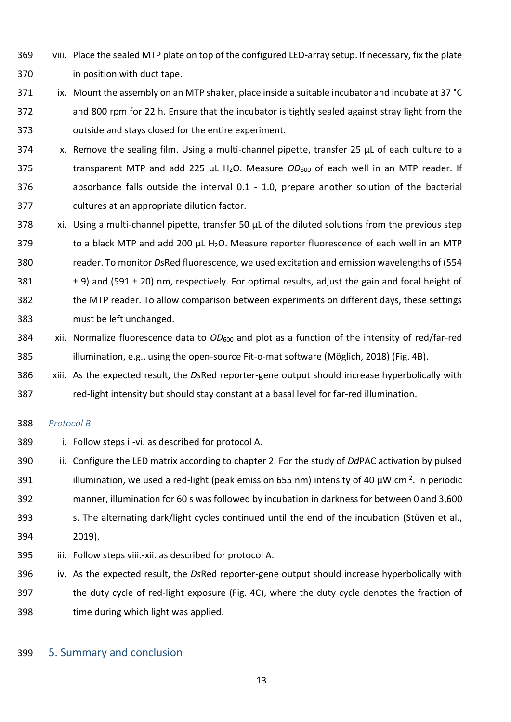- viii. Place the sealed MTP plate on top of the configured LED-array setup. If necessary, fix the plate in position with duct tape.
- 371 ix. Mount the assembly on an MTP shaker, place inside a suitable incubator and incubate at 37 °C and 800 rpm for 22 h. Ensure that the incubator is tightly sealed against stray light from the outside and stays closed for the entire experiment.
- 374 x. Remove the sealing film. Using a multi-channel pipette, transfer 25 µL of each culture to a 375 transparent MTP and add 225 µL H<sub>2</sub>O. Measure *OD*<sub>600</sub> of each well in an MTP reader. If absorbance falls outside the interval 0.1 - 1.0, prepare another solution of the bacterial cultures at an appropriate dilution factor.
- 378 xi. Using a multi-channel pipette, transfer 50 µL of the diluted solutions from the previous step 379 to a black MTP and add 200  $\mu$ L H<sub>2</sub>O. Measure reporter fluorescence of each well in an MTP reader. To monitor *Ds*Red fluorescence, we used excitation and emission wavelengths of (554 381  $\pm$  9) and (591  $\pm$  20) nm, respectively. For optimal results, adjust the gain and focal height of the MTP reader. To allow comparison between experiments on different days, these settings must be left unchanged.
- 384 xii. Normalize fluorescence data to OD<sub>600</sub> and plot as a function of the intensity of red/far-red illumination, e.g., using the open-source Fit-o-mat software (Möglich, 2018) (Fig. 4B).
- xiii. As the expected result, the *Ds*Red reporter-gene output should increase hyperbolically with red-light intensity but should stay constant at a basal level for far-red illumination.

## *Protocol B*

- i. Follow steps i.-vi. as described for protocol A.
- ii. Configure the LED matrix according to chapter 2. For the study of *Dd*PAC activation by pulsed 391 illumination, we used a red-light (peak emission 655 nm) intensity of 40  $\mu$ W cm<sup>-2</sup>. In periodic manner, illumination for 60 s was followed by incubation in darkness for between 0 and 3,600 s. The alternating dark/light cycles continued until the end of the incubation (Stüven et al.,
- 2019).
- iii. Follow steps viii.-xii. as described for protocol A.
- iv. As the expected result, the *Ds*Red reporter-gene output should increase hyperbolically with 397 the duty cycle of red-light exposure (Fig. 4C), where the duty cycle denotes the fraction of time during which light was applied.

## 5. Summary and conclusion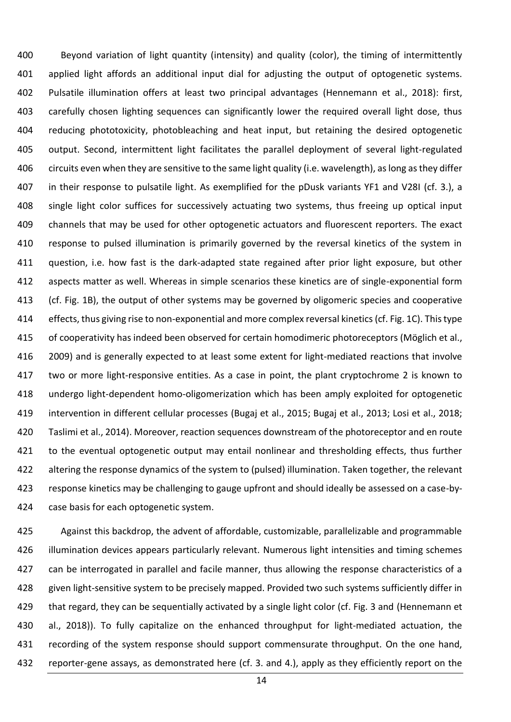Beyond variation of light quantity (intensity) and quality (color), the timing of intermittently applied light affords an additional input dial for adjusting the output of optogenetic systems. Pulsatile illumination offers at least two principal advantages (Hennemann et al., 2018): first, carefully chosen lighting sequences can significantly lower the required overall light dose, thus reducing phototoxicity, photobleaching and heat input, but retaining the desired optogenetic output. Second, intermittent light facilitates the parallel deployment of several light-regulated circuits even when they are sensitive to the same light quality (i.e. wavelength), as long as they differ in their response to pulsatile light. As exemplified for the pDusk variants YF1 and V28I (cf. 3.), a single light color suffices for successively actuating two systems, thus freeing up optical input channels that may be used for other optogenetic actuators and fluorescent reporters. The exact response to pulsed illumination is primarily governed by the reversal kinetics of the system in 411 question, i.e. how fast is the dark-adapted state regained after prior light exposure, but other aspects matter as well. Whereas in simple scenarios these kinetics are of single-exponential form 413 (cf. Fig. 1B), the output of other systems may be governed by oligomeric species and cooperative effects, thus giving rise to non-exponential and more complex reversal kinetics(cf. Fig. 1C). This type of cooperativity has indeed been observed for certain homodimeric photoreceptors (Möglich et al., 2009) and is generally expected to at least some extent for light-mediated reactions that involve two or more light-responsive entities. As a case in point, the plant cryptochrome 2 is known to undergo light-dependent homo-oligomerization which has been amply exploited for optogenetic intervention in different cellular processes (Bugaj et al., 2015; Bugaj et al., 2013; Losi et al., 2018; Taslimi et al., 2014). Moreover, reaction sequences downstream of the photoreceptor and en route 421 to the eventual optogenetic output may entail nonlinear and thresholding effects, thus further altering the response dynamics of the system to (pulsed) illumination. Taken together, the relevant response kinetics may be challenging to gauge upfront and should ideally be assessed on a case-by-case basis for each optogenetic system.

 Against this backdrop, the advent of affordable, customizable, parallelizable and programmable illumination devices appears particularly relevant. Numerous light intensities and timing schemes 427 can be interrogated in parallel and facile manner, thus allowing the response characteristics of a 428 given light-sensitive system to be precisely mapped. Provided two such systems sufficiently differ in 429 that regard, they can be sequentially activated by a single light color (cf. Fig. 3 and (Hennemann et al., 2018)). To fully capitalize on the enhanced throughput for light-mediated actuation, the 431 recording of the system response should support commensurate throughput. On the one hand, reporter-gene assays, as demonstrated here (cf. 3. and 4.), apply as they efficiently report on the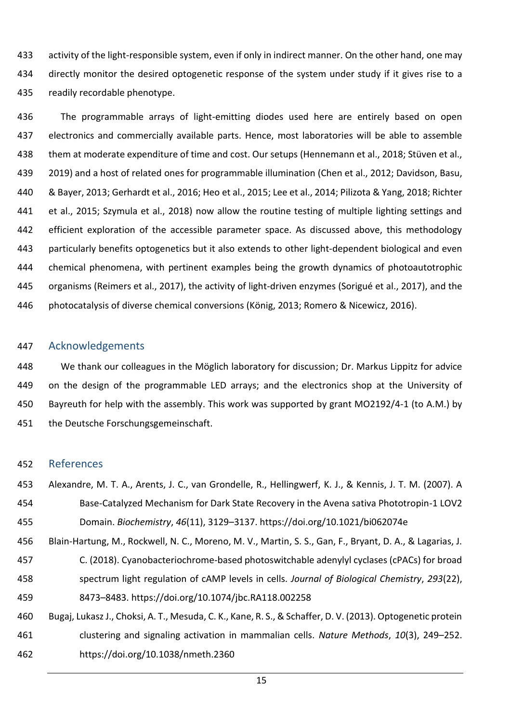activity of the light-responsible system, even if only in indirect manner. On the other hand, one may 434 directly monitor the desired optogenetic response of the system under study if it gives rise to a readily recordable phenotype.

 The programmable arrays of light-emitting diodes used here are entirely based on open 437 electronics and commercially available parts. Hence, most laboratories will be able to assemble them at moderate expenditure of time and cost. Our setups (Hennemann et al., 2018; Stüven et al., 2019) and a host of related ones for programmable illumination (Chen et al., 2012; Davidson, Basu, & Bayer, 2013; Gerhardt et al., 2016; Heo et al., 2015; Lee et al., 2014; Pilizota & Yang, 2018; Richter et al., 2015; Szymula et al., 2018) now allow the routine testing of multiple lighting settings and efficient exploration of the accessible parameter space. As discussed above, this methodology particularly benefits optogenetics but it also extends to other light-dependent biological and even chemical phenomena, with pertinent examples being the growth dynamics of photoautotrophic organisms (Reimers et al., 2017), the activity of light-driven enzymes (Sorigué et al., 2017), and the photocatalysis of diverse chemical conversions (König, 2013; Romero & Nicewicz, 2016).

## Acknowledgements

 We thank our colleagues in the Möglich laboratory for discussion; Dr. Markus Lippitz for advice on the design of the programmable LED arrays; and the electronics shop at the University of Bayreuth for help with the assembly. This work was supported by grant MO2192/4-1 (to A.M.) by the Deutsche Forschungsgemeinschaft.

## References

- Alexandre, M. T. A., Arents, J. C., van Grondelle, R., Hellingwerf, K. J., & Kennis, J. T. M. (2007). A Base-Catalyzed Mechanism for Dark State Recovery in the Avena sativa Phototropin-1 LOV2 Domain. *Biochemistry*, *46*(11), 3129–3137. https://doi.org/10.1021/bi062074e
- Blain-Hartung, M., Rockwell, N. C., Moreno, M. V., Martin, S. S., Gan, F., Bryant, D. A., & Lagarias, J.
- C. (2018). Cyanobacteriochrome-based photoswitchable adenylyl cyclases (cPACs) for broad spectrum light regulation of cAMP levels in cells. *Journal of Biological Chemistry*, *293*(22), 8473–8483. https://doi.org/10.1074/jbc.RA118.002258
- Bugaj, Lukasz J., Choksi, A. T., Mesuda, C. K., Kane, R. S., & Schaffer, D. V. (2013). Optogenetic protein clustering and signaling activation in mammalian cells. *Nature Methods*, *10*(3), 249–252. https://doi.org/10.1038/nmeth.2360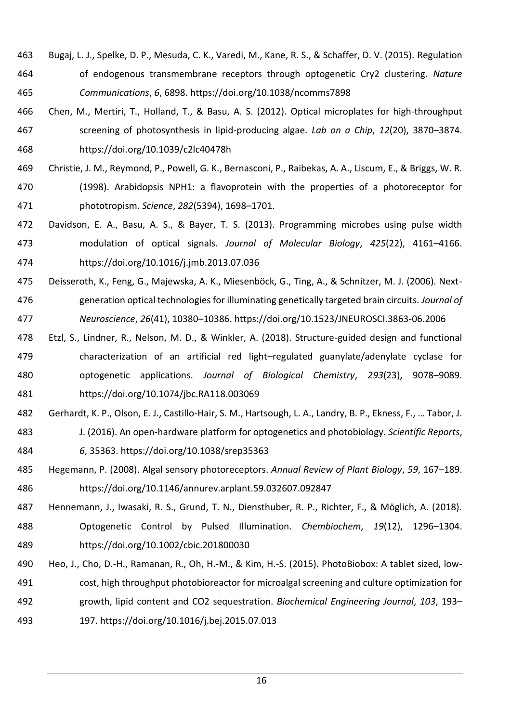- Bugaj, L. J., Spelke, D. P., Mesuda, C. K., Varedi, M., Kane, R. S., & Schaffer, D. V. (2015). Regulation of endogenous transmembrane receptors through optogenetic Cry2 clustering. *Nature Communications*, *6*, 6898. https://doi.org/10.1038/ncomms7898
- Chen, M., Mertiri, T., Holland, T., & Basu, A. S. (2012). Optical microplates for high-throughput screening of photosynthesis in lipid-producing algae. *Lab on a Chip*, *12*(20), 3870–3874. https://doi.org/10.1039/c2lc40478h
- Christie, J. M., Reymond, P., Powell, G. K., Bernasconi, P., Raibekas, A. A., Liscum, E., & Briggs, W. R. (1998). Arabidopsis NPH1: a flavoprotein with the properties of a photoreceptor for phototropism. *Science*, *282*(5394), 1698–1701.
- Davidson, E. A., Basu, A. S., & Bayer, T. S. (2013). Programming microbes using pulse width modulation of optical signals. *Journal of Molecular Biology*, *425*(22), 4161–4166. https://doi.org/10.1016/j.jmb.2013.07.036
- Deisseroth, K., Feng, G., Majewska, A. K., Miesenböck, G., Ting, A., & Schnitzer, M. J. (2006). Next- generation optical technologies for illuminating genetically targeted brain circuits. *Journal of Neuroscience*, *26*(41), 10380–10386. https://doi.org/10.1523/JNEUROSCI.3863-06.2006
- Etzl, S., Lindner, R., Nelson, M. D., & Winkler, A. (2018). Structure-guided design and functional characterization of an artificial red light–regulated guanylate/adenylate cyclase for optogenetic applications. *Journal of Biological Chemistry*, *293*(23), 9078–9089. https://doi.org/10.1074/jbc.RA118.003069
- Gerhardt, K. P., Olson, E. J., Castillo-Hair, S. M., Hartsough, L. A., Landry, B. P., Ekness, F., … Tabor, J.
- J. (2016). An open-hardware platform for optogenetics and photobiology. *Scientific Reports*, *6*, 35363. https://doi.org/10.1038/srep35363
- Hegemann, P. (2008). Algal sensory photoreceptors. *Annual Review of Plant Biology*, *59*, 167–189. https://doi.org/10.1146/annurev.arplant.59.032607.092847
- Hennemann, J., Iwasaki, R. S., Grund, T. N., Diensthuber, R. P., Richter, F., & Möglich, A. (2018). Optogenetic Control by Pulsed Illumination. *Chembiochem*, *19*(12), 1296–1304. https://doi.org/10.1002/cbic.201800030
- Heo, J., Cho, D.-H., Ramanan, R., Oh, H.-M., & Kim, H.-S. (2015). PhotoBiobox: A tablet sized, low- cost, high throughput photobioreactor for microalgal screening and culture optimization for growth, lipid content and CO2 sequestration. *Biochemical Engineering Journal*, *103*, 193–
- 197. https://doi.org/10.1016/j.bej.2015.07.013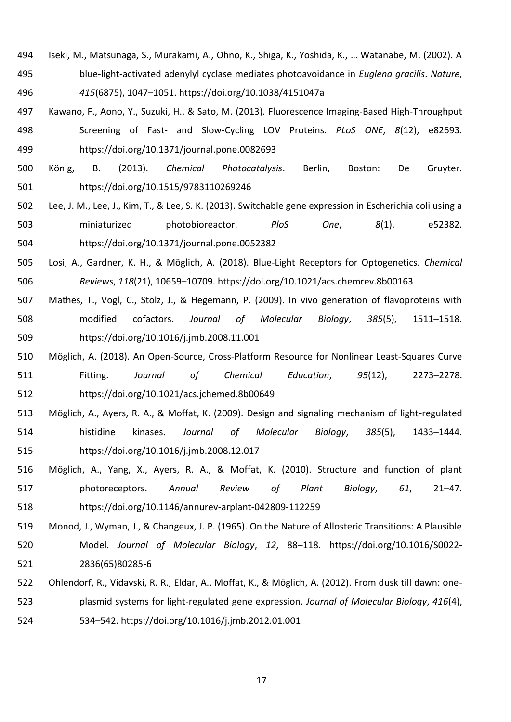- Iseki, M., Matsunaga, S., Murakami, A., Ohno, K., Shiga, K., Yoshida, K., … Watanabe, M. (2002). A blue-light-activated adenylyl cyclase mediates photoavoidance in *Euglena gracilis*. *Nature*, *415*(6875), 1047–1051. https://doi.org/10.1038/4151047a
- Kawano, F., Aono, Y., Suzuki, H., & Sato, M. (2013). Fluorescence Imaging-Based High-Throughput Screening of Fast- and Slow-Cycling LOV Proteins. *PLoS ONE*, *8*(12), e82693. https://doi.org/10.1371/journal.pone.0082693
- König, B. (2013). *Chemical Photocatalysis*. Berlin, Boston: De Gruyter. https://doi.org/10.1515/9783110269246
- Lee, J. M., Lee, J., Kim, T., & Lee, S. K. (2013). Switchable gene expression in Escherichia coli using a miniaturized photobioreactor. *PloS One*, *8*(1), e52382. https://doi.org/10.1371/journal.pone.0052382
- Losi, A., Gardner, K. H., & Möglich, A. (2018). Blue-Light Receptors for Optogenetics. *Chemical Reviews*, *118*(21), 10659–10709. https://doi.org/10.1021/acs.chemrev.8b00163
- Mathes, T., Vogl, C., Stolz, J., & Hegemann, P. (2009). In vivo generation of flavoproteins with modified cofactors. *Journal of Molecular Biology*, *385*(5), 1511–1518. https://doi.org/10.1016/j.jmb.2008.11.001
- Möglich, A. (2018). An Open-Source, Cross-Platform Resource for Nonlinear Least-Squares Curve Fitting. *Journal of Chemical Education*, *95*(12), 2273–2278. https://doi.org/10.1021/acs.jchemed.8b00649
- Möglich, A., Ayers, R. A., & Moffat, K. (2009). Design and signaling mechanism of light-regulated histidine kinases. *Journal of Molecular Biology*, *385*(5), 1433–1444. https://doi.org/10.1016/j.jmb.2008.12.017
- Möglich, A., Yang, X., Ayers, R. A., & Moffat, K. (2010). Structure and function of plant photoreceptors. *Annual Review of Plant Biology*, *61*, 21–47. https://doi.org/10.1146/annurev-arplant-042809-112259
- Monod, J., Wyman, J., & Changeux, J. P. (1965). On the Nature of Allosteric Transitions: A Plausible Model. *Journal of Molecular Biology*, *12*, 88–118. https://doi.org/10.1016/S0022- 2836(65)80285-6
- Ohlendorf, R., Vidavski, R. R., Eldar, A., Moffat, K., & Möglich, A. (2012). From dusk till dawn: one- plasmid systems for light-regulated gene expression. *Journal of Molecular Biology*, *416*(4), 534–542. https://doi.org/10.1016/j.jmb.2012.01.001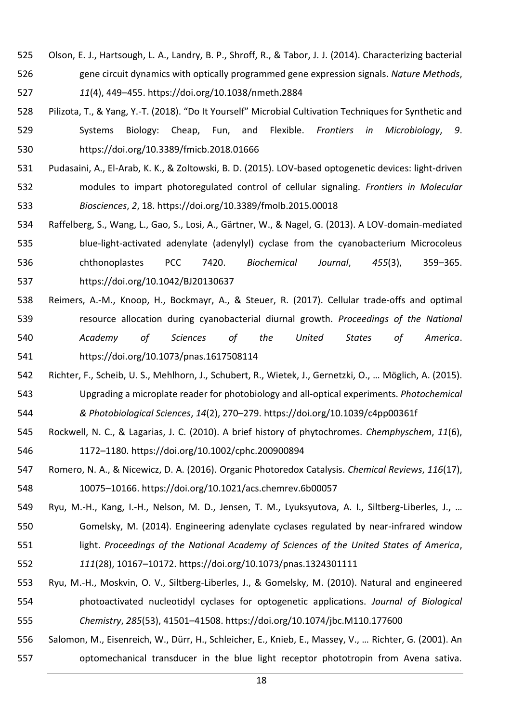- Olson, E. J., Hartsough, L. A., Landry, B. P., Shroff, R., & Tabor, J. J. (2014). Characterizing bacterial gene circuit dynamics with optically programmed gene expression signals. *Nature Methods*, *11*(4), 449–455. https://doi.org/10.1038/nmeth.2884
- Pilizota, T., & Yang, Y.-T. (2018). "Do It Yourself" Microbial Cultivation Techniques for Synthetic and Systems Biology: Cheap, Fun, and Flexible. *Frontiers in Microbiology*, *9*. https://doi.org/10.3389/fmicb.2018.01666
- Pudasaini, A., El-Arab, K. K., & Zoltowski, B. D. (2015). LOV-based optogenetic devices: light-driven modules to impart photoregulated control of cellular signaling. *Frontiers in Molecular Biosciences*, *2*, 18. https://doi.org/10.3389/fmolb.2015.00018
- Raffelberg, S., Wang, L., Gao, S., Losi, A., Gärtner, W., & Nagel, G. (2013). A LOV-domain-mediated blue-light-activated adenylate (adenylyl) cyclase from the cyanobacterium Microcoleus chthonoplastes PCC 7420. *Biochemical Journal*, *455*(3), 359–365. https://doi.org/10.1042/BJ20130637
- Reimers, A.-M., Knoop, H., Bockmayr, A., & Steuer, R. (2017). Cellular trade-offs and optimal resource allocation during cyanobacterial diurnal growth. *Proceedings of the National Academy of Sciences of the United States of America*. https://doi.org/10.1073/pnas.1617508114
- Richter, F., Scheib, U. S., Mehlhorn, J., Schubert, R., Wietek, J., Gernetzki, O., … Möglich, A. (2015). Upgrading a microplate reader for photobiology and all-optical experiments. *Photochemical & Photobiological Sciences*, *14*(2), 270–279. https://doi.org/10.1039/c4pp00361f
- Rockwell, N. C., & Lagarias, J. C. (2010). A brief history of phytochromes. *Chemphyschem*, *11*(6), 1172–1180. https://doi.org/10.1002/cphc.200900894
- Romero, N. A., & Nicewicz, D. A. (2016). Organic Photoredox Catalysis. *Chemical Reviews*, *116*(17), 10075–10166. https://doi.org/10.1021/acs.chemrev.6b00057
- Ryu, M.-H., Kang, I.-H., Nelson, M. D., Jensen, T. M., Lyuksyutova, A. I., Siltberg-Liberles, J., … Gomelsky, M. (2014). Engineering adenylate cyclases regulated by near-infrared window light. *Proceedings of the National Academy of Sciences of the United States of America*, *111*(28), 10167–10172. https://doi.org/10.1073/pnas.1324301111
- Ryu, M.-H., Moskvin, O. V., Siltberg-Liberles, J., & Gomelsky, M. (2010). Natural and engineered photoactivated nucleotidyl cyclases for optogenetic applications. *Journal of Biological Chemistry*, *285*(53), 41501–41508. https://doi.org/10.1074/jbc.M110.177600
- Salomon, M., Eisenreich, W., Dürr, H., Schleicher, E., Knieb, E., Massey, V., … Richter, G. (2001). An optomechanical transducer in the blue light receptor phototropin from Avena sativa.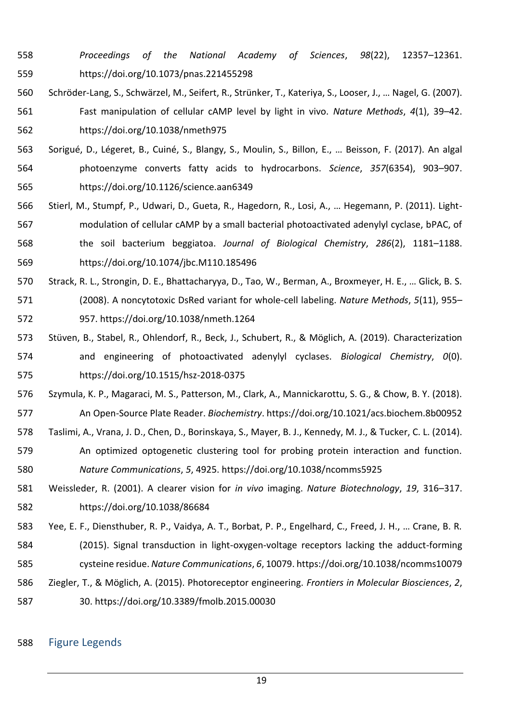- *Proceedings of the National Academy of Sciences*, *98*(22), 12357–12361. https://doi.org/10.1073/pnas.221455298
- Schröder-Lang, S., Schwärzel, M., Seifert, R., Strünker, T., Kateriya, S., Looser, J., … Nagel, G. (2007). Fast manipulation of cellular cAMP level by light in vivo. *Nature Methods*, *4*(1), 39–42. https://doi.org/10.1038/nmeth975
- Sorigué, D., Légeret, B., Cuiné, S., Blangy, S., Moulin, S., Billon, E., … Beisson, F. (2017). An algal photoenzyme converts fatty acids to hydrocarbons. *Science*, *357*(6354), 903–907. https://doi.org/10.1126/science.aan6349
- Stierl, M., Stumpf, P., Udwari, D., Gueta, R., Hagedorn, R., Losi, A., … Hegemann, P. (2011). Light- modulation of cellular cAMP by a small bacterial photoactivated adenylyl cyclase, bPAC, of the soil bacterium beggiatoa. *Journal of Biological Chemistry*, *286*(2), 1181–1188. https://doi.org/10.1074/jbc.M110.185496
- Strack, R. L., Strongin, D. E., Bhattacharyya, D., Tao, W., Berman, A., Broxmeyer, H. E., … Glick, B. S. (2008). A noncytotoxic DsRed variant for whole-cell labeling. *Nature Methods*, *5*(11), 955– 957. https://doi.org/10.1038/nmeth.1264
- Stüven, B., Stabel, R., Ohlendorf, R., Beck, J., Schubert, R., & Möglich, A. (2019). Characterization and engineering of photoactivated adenylyl cyclases. *Biological Chemistry*, *0*(0). https://doi.org/10.1515/hsz-2018-0375
- Szymula, K. P., Magaraci, M. S., Patterson, M., Clark, A., Mannickarottu, S. G., & Chow, B. Y. (2018). An Open-Source Plate Reader. *Biochemistry*. https://doi.org/10.1021/acs.biochem.8b00952
- Taslimi, A., Vrana, J. D., Chen, D., Borinskaya, S., Mayer, B. J., Kennedy, M. J., & Tucker, C. L. (2014).
- An optimized optogenetic clustering tool for probing protein interaction and function. *Nature Communications*, *5*, 4925. https://doi.org/10.1038/ncomms5925
- Weissleder, R. (2001). A clearer vision for *in vivo* imaging. *Nature Biotechnology*, *19*, 316–317. https://doi.org/10.1038/86684
- Yee, E. F., Diensthuber, R. P., Vaidya, A. T., Borbat, P. P., Engelhard, C., Freed, J. H., … Crane, B. R. (2015). Signal transduction in light-oxygen-voltage receptors lacking the adduct-forming cysteine residue. *Nature Communications*, *6*, 10079. https://doi.org/10.1038/ncomms10079
- Ziegler, T., & Möglich, A. (2015). Photoreceptor engineering. *Frontiers in Molecular Biosciences*, *2*,
- 30. https://doi.org/10.3389/fmolb.2015.00030

## Figure Legends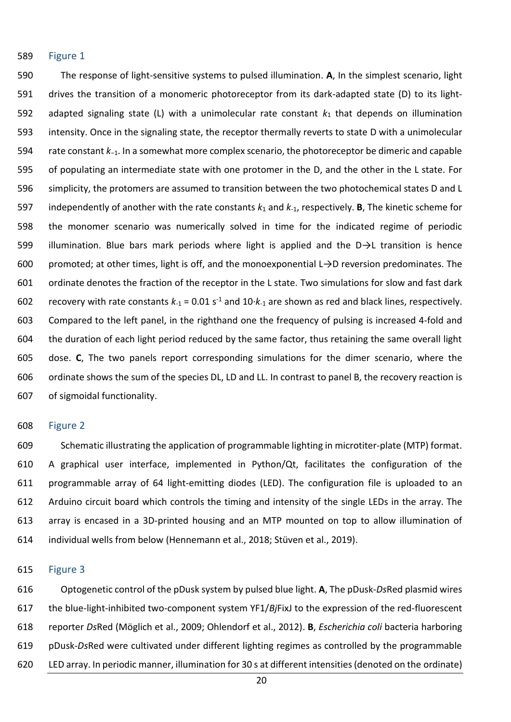#### Figure 1

 The response of light-sensitive systems to pulsed illumination. **A**, In the simplest scenario, light drives the transition of a monomeric photoreceptor from its dark-adapted state (D) to its light-592 adapted signaling state (L) with a unimolecular rate constant  $k_1$  that depends on illumination intensity. Once in the signaling state, the receptor thermally reverts to state D with a unimolecular rate constant *k*−1. In a somewhat more complex scenario, the photoreceptor be dimeric and capable of populating an intermediate state with one protomer in the D, and the other in the L state. For simplicity, the protomers are assumed to transition between the two photochemical states D and L independently of another with the rate constants *k*<sup>1</sup> and *k*-1, respectively. **B**, The kinetic scheme for the monomer scenario was numerically solved in time for the indicated regime of periodic illumination. Blue bars mark periods where light is applied and the D→L transition is hence promoted; at other times, light is off, and the monoexponential L→D reversion predominates. The ordinate denotes the fraction of the receptor in the L state. Two simulations for slow and fast dark 602 recovery with rate constants  $k_{-1}$  = 0.01 s<sup>-1</sup> and 10 $\cdot$ *k*-1 are shown as red and black lines, respectively. Compared to the left panel, in the righthand one the frequency of pulsing is increased 4-fold and the duration of each light period reduced by the same factor, thus retaining the same overall light dose. **C**, The two panels report corresponding simulations for the dimer scenario, where the ordinate shows the sum of the species DL, LD and LL. In contrast to panel B, the recovery reaction is of sigmoidal functionality.

#### Figure 2

 Schematic illustrating the application of programmable lighting in microtiter-plate (MTP) format. A graphical user interface, implemented in Python/Qt, facilitates the configuration of the programmable array of 64 light-emitting diodes (LED). The configuration file is uploaded to an Arduino circuit board which controls the timing and intensity of the single LEDs in the array. The array is encased in a 3D-printed housing and an MTP mounted on top to allow illumination of individual wells from below (Hennemann et al., 2018; Stüven et al., 2019).

### Figure 3

 Optogenetic control of the pDusk system by pulsed blue light. **A**, The pDusk-*Ds*Red plasmid wires the blue-light-inhibited two-component system YF1/*Bj*FixJ to the expression of the red-fluorescent reporter *Ds*Red (Möglich et al., 2009; Ohlendorf et al., 2012). **B**, *Escherichia coli* bacteria harboring pDusk-*Ds*Red were cultivated under different lighting regimes as controlled by the programmable LED array. In periodic manner, illumination for 30 s at different intensities (denoted on the ordinate)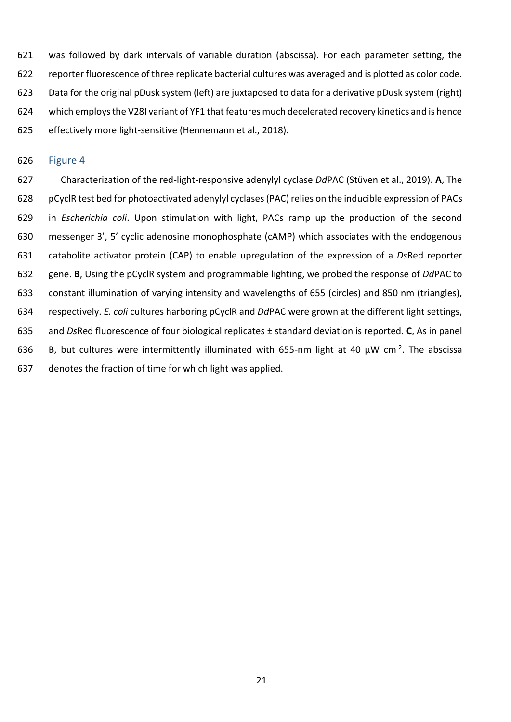was followed by dark intervals of variable duration (abscissa). For each parameter setting, the reporter fluorescence of three replicate bacterial cultures was averaged and is plotted as color code. Data for the original pDusk system (left) are juxtaposed to data for a derivative pDusk system (right) which employs the V28I variant of YF1 that features much decelerated recovery kinetics and is hence effectively more light-sensitive (Hennemann et al., 2018).

## Figure 4

 Characterization of the red-light-responsive adenylyl cyclase *Dd*PAC (Stüven et al., 2019). **A**, The pCyclR test bed for photoactivated adenylyl cyclases (PAC) relies on the inducible expression of PACs in *Escherichia coli*. Upon stimulation with light, PACs ramp up the production of the second messenger 3', 5' cyclic adenosine monophosphate (cAMP) which associates with the endogenous catabolite activator protein (CAP) to enable upregulation of the expression of a *Ds*Red reporter gene. **B**, Using the pCyclR system and programmable lighting, we probed the response of *Dd*PAC to constant illumination of varying intensity and wavelengths of 655 (circles) and 850 nm (triangles), respectively. *E. coli* cultures harboring pCyclR and *Dd*PAC were grown at the different light settings, and *Ds*Red fluorescence of four biological replicates ± standard deviation is reported. **C**, As in panel 636 B, but cultures were intermittently illuminated with 655-nm light at 40  $\mu$ W cm<sup>-2</sup>. The abscissa denotes the fraction of time for which light was applied.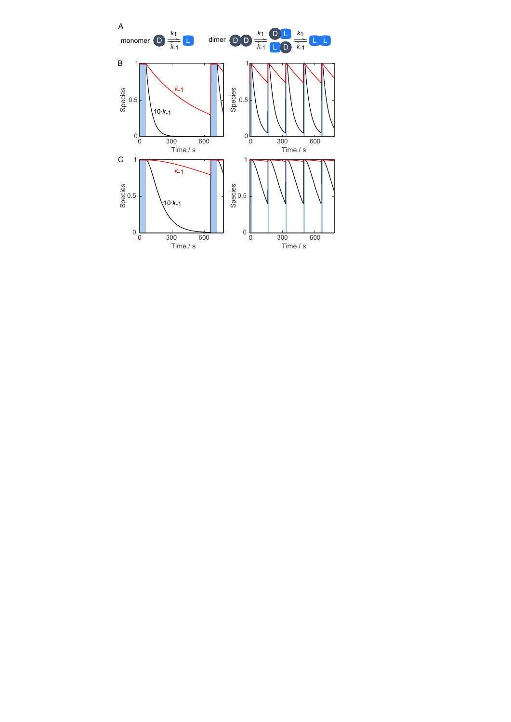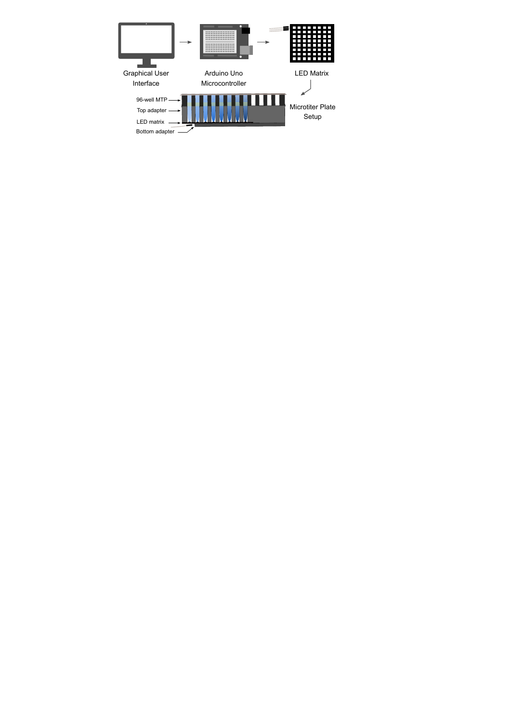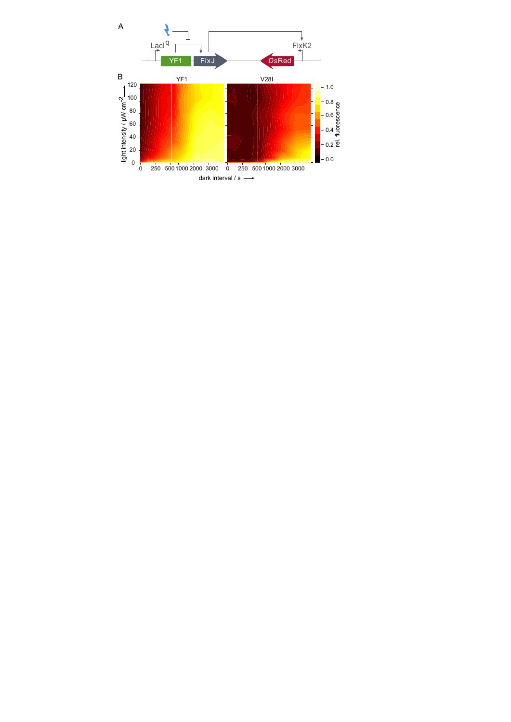